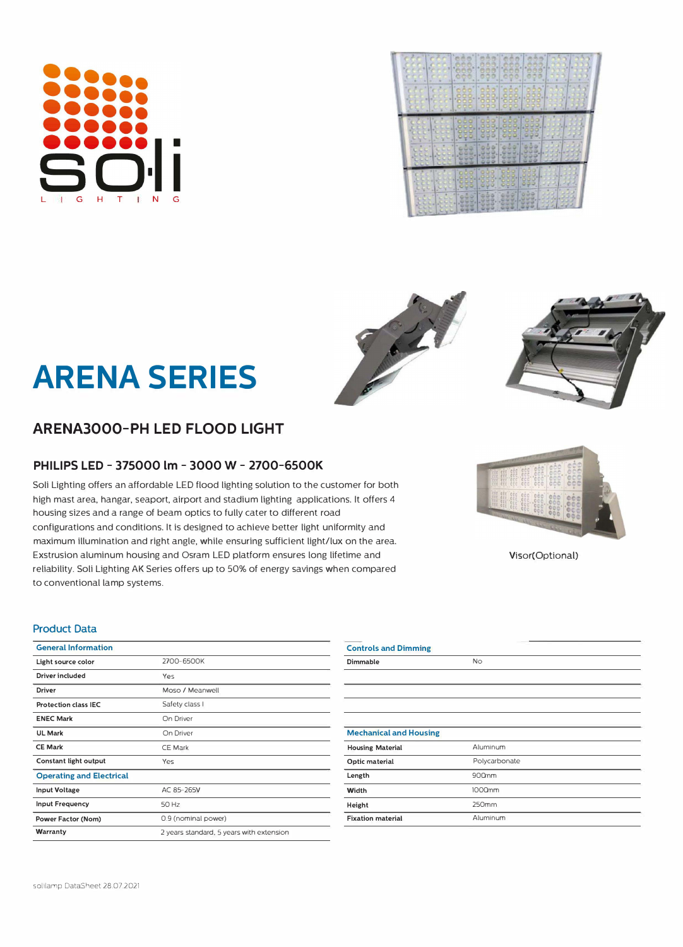# **ARENA3000-PH LED FLOOD LIGHT**

## **PHILIPS LED - 375000 lm - 3000 W- 2700-GS00K**

Soli Lighting offers an affordable LED flood lighting solution to the customer for both high mast area, hangar, seaport, airport and stadium lighting applications. it offers 4 housing sizes and a range of beam optics to fully cater to different road configurations and conditions. it is designed to achieve better light uniformity and maximum illumination and right angle, while ensuring sufficient light/lux on the area. Exstrusion aluminum housing and Osram LED platform ensures long lifetime and reliability. Soli Lighting AK Series offers up to 50% of energy savings when compared to conventional lamp systems.

### **Product Data**

| <b>General Information</b>      |                                          | <b>Controls and Dimming</b>   |
|---------------------------------|------------------------------------------|-------------------------------|
| Light source color              | 2700-6500K                               | Dimmable                      |
| Driver included                 | Yes                                      |                               |
| <b>Driver</b>                   | Moso / Meanwell                          |                               |
| <b>Protection class IEC</b>     | Safety class I                           |                               |
| <b>ENEC Mark</b>                | On Driver                                |                               |
| <b>UL Mark</b>                  | On Driver                                | <b>Mechanical and Housing</b> |
| <b>CE Mark</b>                  | <b>CE Mark</b>                           | <b>Housing Material</b>       |
| Constant light output           | Yes                                      | Optic material                |
| <b>Operating and Electrical</b> |                                          | Length                        |
| <b>Input Voltage</b>            | AC 85-265V                               | Width                         |
| <b>Input Frequency</b>          | 50 Hz                                    | Height                        |
| Power Factor (Nom)              | 0.9 (nominal power)                      | <b>Fixation material</b>      |
| Warranty                        | 2 years standard, 5 years with extension |                               |
|                                 |                                          |                               |

| <b>Mechanical and Housing</b> |               |
|-------------------------------|---------------|
| <b>Housing Material</b>       | Aluminum      |
| Optic material                | Polycarbonate |
| Length                        | 900nm         |
| Width                         | 1000nm        |
| Height                        | 250mm         |
| <b>Fixation material</b>      | Aluminum      |

No

Visor(Optional)

**ARENA SERIES**